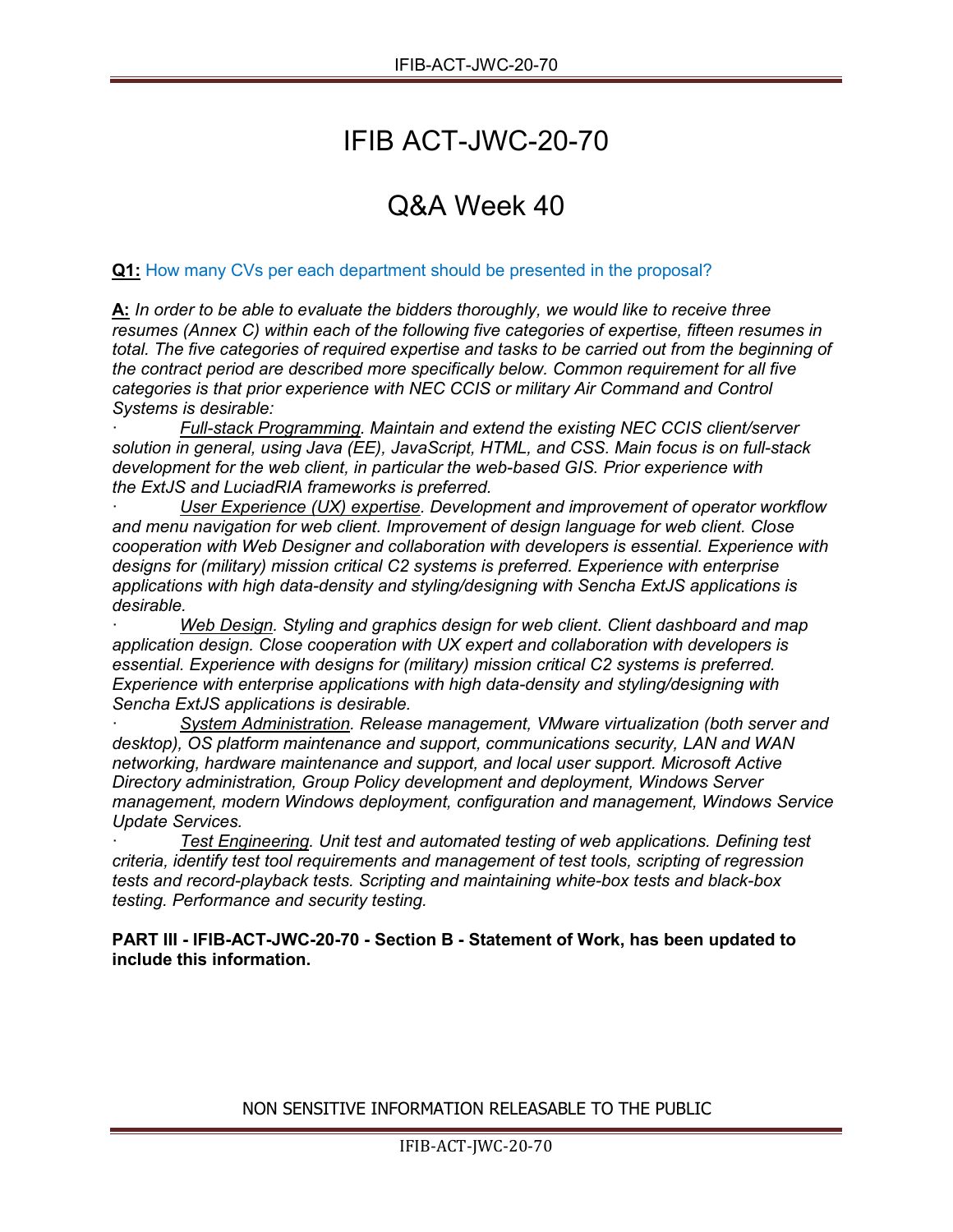# IFIB ACT-JWC-20-70

## Q&A Week 40

### **Q1:** How many CVs per each department should be presented in the proposal?

**A:** *In order to be able to evaluate the bidders thoroughly, we would like to receive three resumes (Annex C) within each of the following five categories of expertise, fifteen resumes in total. The five categories of required expertise and tasks to be carried out from the beginning of the contract period are described more specifically below. Common requirement for all five categories is that prior experience with NEC CCIS or military Air Command and Control Systems is desirable:*

· *Full-stack Programming. Maintain and extend the existing NEC CCIS client/server solution in general, using Java (EE), JavaScript, HTML, and CSS. Main focus is on full-stack development for the web client, in particular the web-based GIS. Prior experience with the ExtJS and LuciadRIA frameworks is preferred.*

User Experience (UX) expertise. Development and improvement of operator workflow *and menu navigation for web client. Improvement of design language for web client. Close cooperation with Web Designer and collaboration with developers is essential. Experience with designs for (military) mission critical C2 systems is preferred. Experience with enterprise applications with high data-density and styling/designing with Sencha ExtJS applications is desirable.*

· *Web Design. Styling and graphics design for web client. Client dashboard and map application design. Close cooperation with UX expert and collaboration with developers is essential. Experience with designs for (military) mission critical C2 systems is preferred. Experience with enterprise applications with high data-density and styling/designing with Sencha ExtJS applications is desirable.*

· *System Administration. Release management, VMware virtualization (both server and desktop), OS platform maintenance and support, communications security, LAN and WAN networking, hardware maintenance and support, and local user support. Microsoft Active Directory administration, Group Policy development and deployment, Windows Server management, modern Windows deployment, configuration and management, Windows Service Update Services.*

· *Test Engineering. Unit test and automated testing of web applications. Defining test criteria, identify test tool requirements and management of test tools, scripting of regression tests and record-playback tests. Scripting and maintaining white-box tests and black-box testing. Performance and security testing.*

**PART III - IFIB-ACT-JWC-20-70 - Section B - Statement of Work, has been updated to include this information.**

NON SENSITIVE INFORMATION RELEASABLE TO THE PUBLIC